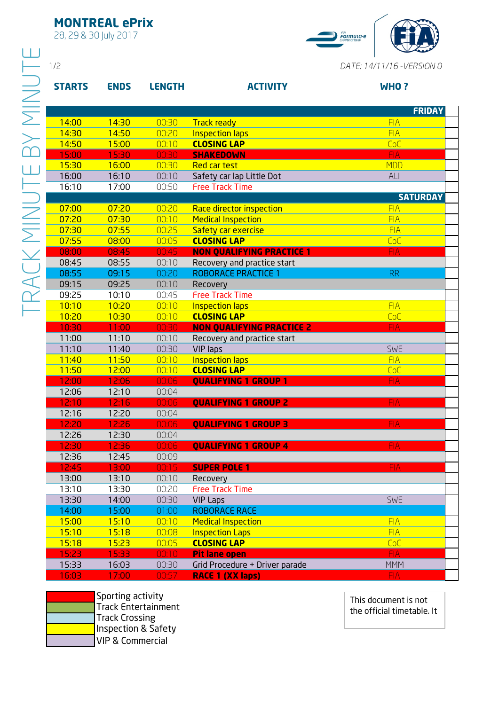## **MONTREAL ePrix**

28, 29 & 30 July 2017



| <b>ENDS</b><br><b>LENGTH</b><br><b>ACTIVITY</b><br><b>WHO?</b><br>00:30<br>14:00<br>14:30<br><b>FIA</b><br><b>Track ready</b><br>14:30<br>00:20<br>14:50<br><b>Inspection laps</b><br><b>FIA</b><br>14:50<br>15:00<br>00:10<br><b>CLOSING LAP</b><br>CoC<br>15:00<br>15:30<br>00:30<br><b>FIA</b><br><b>SHAKEDOWN</b><br>15:30<br>16:00<br>00:30<br><b>Red car test</b><br><b>MDD</b><br>16:00<br>00:10<br>Safety car lap Little Dot<br>16:10<br>ALI<br>16:10<br>17:00<br>00:50<br><b>Free Track Time</b><br>07:20<br>00:20<br>07:00<br>Race director inspection<br><b>FIA</b><br>07:20<br><b>FIA</b><br>07:30<br>00:10<br><b>Medical Inspection</b><br>07:30<br>07:55<br>00:25<br>Safety car exercise<br><b>FIA</b><br>07:55<br><b>CLOSING LAP</b><br>08:00<br>00:05<br>CoC<br>08:00<br>08:45<br><b>NON QUALIFYING PRACTICE 1</b><br>00:45<br><b>FIA</b><br>08:45<br>08:55<br>00:10<br>Recovery and practice start<br>08:55<br>09:15<br>00:20<br><b>ROBORACE PRACTICE 1</b><br><b>RR</b><br>09:15<br>09:25<br>00:10<br>Recovery<br>09:25<br>00:45<br>10:10<br><b>Free Track Time</b><br>10:10<br>10:20<br><b>FIA</b><br>00:10<br><b>Inspection laps</b><br>10:20<br>10:30<br>00:10<br><b>CLOSING LAP</b><br>CoC<br>10:30<br>11:00<br>00:30<br><b>NON QUALIFYING PRACTICE 2</b><br><b>FIA</b><br>11:00<br>00:10<br>11:10<br>Recovery and practice start<br>11:10<br>00:30<br><b>SWE</b><br>11:40<br><b>VIP laps</b><br>11:50<br><b>FIA</b><br>11:40<br>00:10<br><b>Inspection laps</b><br>11:50<br>00:10<br><b>CLOSING LAP</b><br>12:00<br>CoC<br>12:00<br>00:06<br><b>FIA</b><br>12:06<br><b>QUALIFYING 1 GROUP 1</b><br>12:06<br>12:10<br>00:04<br>12:16<br>12:10<br>00:06<br><b>QUALIFYING 1 GROUP 2</b><br><b>FIA</b><br>12:16<br>12:20<br>00:04<br>12:20<br>12:26<br>00:06<br><b>FIA</b><br><b>QUALIFYING 1 GROUP 3</b><br>12:26<br>12:30<br>00:04<br>12:30<br>12:36<br>00:06<br><b>FIA</b><br><b>QUALIFYING 1 GROUP 4</b><br>12:36<br>12:45<br>00:09<br>12:45<br>13:00<br>00:15<br><b>FIA</b><br><b>SUPER POLE 1</b><br>13:00<br>00:10<br>13:10<br>Recovery<br>13:10<br><b>Free Track Time</b><br>13:30<br>00:20<br><b>SWE</b><br>13:30<br>14:00<br>00:30<br><b>VIP Laps</b><br>14:00<br>15:00<br>01:00<br><b>ROBORACE RACE</b><br>15:00<br>15:10<br><b>FIA</b><br>00:10<br><b>Medical Inspection</b><br>15:10<br>15:18<br>00:08<br><b>Inspection Laps</b><br><b>FIA</b><br>15:18<br>15:23<br>00:05<br><b>CLOSING LAP</b><br>CoC<br>15:23<br><b>FIA</b><br>15:33<br>$00:10^{-7}$<br><b>Pit lane open</b> |               |       |       |                                |                            |
|----------------------------------------------------------------------------------------------------------------------------------------------------------------------------------------------------------------------------------------------------------------------------------------------------------------------------------------------------------------------------------------------------------------------------------------------------------------------------------------------------------------------------------------------------------------------------------------------------------------------------------------------------------------------------------------------------------------------------------------------------------------------------------------------------------------------------------------------------------------------------------------------------------------------------------------------------------------------------------------------------------------------------------------------------------------------------------------------------------------------------------------------------------------------------------------------------------------------------------------------------------------------------------------------------------------------------------------------------------------------------------------------------------------------------------------------------------------------------------------------------------------------------------------------------------------------------------------------------------------------------------------------------------------------------------------------------------------------------------------------------------------------------------------------------------------------------------------------------------------------------------------------------------------------------------------------------------------------------------------------------------------------------------------------------------------------------------------------------------------------------------------------------------------------------------------------------------------------------------------------------------------------------------------------------------------------------------------------------------------------------------------------------------------------------------------------------------------------------------------------------------------|---------------|-------|-------|--------------------------------|----------------------------|
|                                                                                                                                                                                                                                                                                                                                                                                                                                                                                                                                                                                                                                                                                                                                                                                                                                                                                                                                                                                                                                                                                                                                                                                                                                                                                                                                                                                                                                                                                                                                                                                                                                                                                                                                                                                                                                                                                                                                                                                                                                                                                                                                                                                                                                                                                                                                                                                                                                                                                                                | 1/2           |       |       |                                | DATE: 14/11/16 - VERSION 0 |
|                                                                                                                                                                                                                                                                                                                                                                                                                                                                                                                                                                                                                                                                                                                                                                                                                                                                                                                                                                                                                                                                                                                                                                                                                                                                                                                                                                                                                                                                                                                                                                                                                                                                                                                                                                                                                                                                                                                                                                                                                                                                                                                                                                                                                                                                                                                                                                                                                                                                                                                | <b>STARTS</b> |       |       |                                |                            |
|                                                                                                                                                                                                                                                                                                                                                                                                                                                                                                                                                                                                                                                                                                                                                                                                                                                                                                                                                                                                                                                                                                                                                                                                                                                                                                                                                                                                                                                                                                                                                                                                                                                                                                                                                                                                                                                                                                                                                                                                                                                                                                                                                                                                                                                                                                                                                                                                                                                                                                                |               |       |       |                                | <b>FRIDAY</b>              |
|                                                                                                                                                                                                                                                                                                                                                                                                                                                                                                                                                                                                                                                                                                                                                                                                                                                                                                                                                                                                                                                                                                                                                                                                                                                                                                                                                                                                                                                                                                                                                                                                                                                                                                                                                                                                                                                                                                                                                                                                                                                                                                                                                                                                                                                                                                                                                                                                                                                                                                                |               |       |       |                                |                            |
|                                                                                                                                                                                                                                                                                                                                                                                                                                                                                                                                                                                                                                                                                                                                                                                                                                                                                                                                                                                                                                                                                                                                                                                                                                                                                                                                                                                                                                                                                                                                                                                                                                                                                                                                                                                                                                                                                                                                                                                                                                                                                                                                                                                                                                                                                                                                                                                                                                                                                                                |               |       |       |                                |                            |
|                                                                                                                                                                                                                                                                                                                                                                                                                                                                                                                                                                                                                                                                                                                                                                                                                                                                                                                                                                                                                                                                                                                                                                                                                                                                                                                                                                                                                                                                                                                                                                                                                                                                                                                                                                                                                                                                                                                                                                                                                                                                                                                                                                                                                                                                                                                                                                                                                                                                                                                |               |       |       |                                |                            |
|                                                                                                                                                                                                                                                                                                                                                                                                                                                                                                                                                                                                                                                                                                                                                                                                                                                                                                                                                                                                                                                                                                                                                                                                                                                                                                                                                                                                                                                                                                                                                                                                                                                                                                                                                                                                                                                                                                                                                                                                                                                                                                                                                                                                                                                                                                                                                                                                                                                                                                                |               |       |       |                                |                            |
|                                                                                                                                                                                                                                                                                                                                                                                                                                                                                                                                                                                                                                                                                                                                                                                                                                                                                                                                                                                                                                                                                                                                                                                                                                                                                                                                                                                                                                                                                                                                                                                                                                                                                                                                                                                                                                                                                                                                                                                                                                                                                                                                                                                                                                                                                                                                                                                                                                                                                                                |               |       |       |                                |                            |
|                                                                                                                                                                                                                                                                                                                                                                                                                                                                                                                                                                                                                                                                                                                                                                                                                                                                                                                                                                                                                                                                                                                                                                                                                                                                                                                                                                                                                                                                                                                                                                                                                                                                                                                                                                                                                                                                                                                                                                                                                                                                                                                                                                                                                                                                                                                                                                                                                                                                                                                |               |       |       |                                |                            |
|                                                                                                                                                                                                                                                                                                                                                                                                                                                                                                                                                                                                                                                                                                                                                                                                                                                                                                                                                                                                                                                                                                                                                                                                                                                                                                                                                                                                                                                                                                                                                                                                                                                                                                                                                                                                                                                                                                                                                                                                                                                                                                                                                                                                                                                                                                                                                                                                                                                                                                                |               |       |       |                                | <b>SATURDAY</b>            |
|                                                                                                                                                                                                                                                                                                                                                                                                                                                                                                                                                                                                                                                                                                                                                                                                                                                                                                                                                                                                                                                                                                                                                                                                                                                                                                                                                                                                                                                                                                                                                                                                                                                                                                                                                                                                                                                                                                                                                                                                                                                                                                                                                                                                                                                                                                                                                                                                                                                                                                                |               |       |       |                                |                            |
|                                                                                                                                                                                                                                                                                                                                                                                                                                                                                                                                                                                                                                                                                                                                                                                                                                                                                                                                                                                                                                                                                                                                                                                                                                                                                                                                                                                                                                                                                                                                                                                                                                                                                                                                                                                                                                                                                                                                                                                                                                                                                                                                                                                                                                                                                                                                                                                                                                                                                                                |               |       |       |                                |                            |
|                                                                                                                                                                                                                                                                                                                                                                                                                                                                                                                                                                                                                                                                                                                                                                                                                                                                                                                                                                                                                                                                                                                                                                                                                                                                                                                                                                                                                                                                                                                                                                                                                                                                                                                                                                                                                                                                                                                                                                                                                                                                                                                                                                                                                                                                                                                                                                                                                                                                                                                |               |       |       |                                |                            |
|                                                                                                                                                                                                                                                                                                                                                                                                                                                                                                                                                                                                                                                                                                                                                                                                                                                                                                                                                                                                                                                                                                                                                                                                                                                                                                                                                                                                                                                                                                                                                                                                                                                                                                                                                                                                                                                                                                                                                                                                                                                                                                                                                                                                                                                                                                                                                                                                                                                                                                                |               |       |       |                                |                            |
|                                                                                                                                                                                                                                                                                                                                                                                                                                                                                                                                                                                                                                                                                                                                                                                                                                                                                                                                                                                                                                                                                                                                                                                                                                                                                                                                                                                                                                                                                                                                                                                                                                                                                                                                                                                                                                                                                                                                                                                                                                                                                                                                                                                                                                                                                                                                                                                                                                                                                                                |               |       |       |                                |                            |
|                                                                                                                                                                                                                                                                                                                                                                                                                                                                                                                                                                                                                                                                                                                                                                                                                                                                                                                                                                                                                                                                                                                                                                                                                                                                                                                                                                                                                                                                                                                                                                                                                                                                                                                                                                                                                                                                                                                                                                                                                                                                                                                                                                                                                                                                                                                                                                                                                                                                                                                |               |       |       |                                |                            |
|                                                                                                                                                                                                                                                                                                                                                                                                                                                                                                                                                                                                                                                                                                                                                                                                                                                                                                                                                                                                                                                                                                                                                                                                                                                                                                                                                                                                                                                                                                                                                                                                                                                                                                                                                                                                                                                                                                                                                                                                                                                                                                                                                                                                                                                                                                                                                                                                                                                                                                                |               |       |       |                                |                            |
|                                                                                                                                                                                                                                                                                                                                                                                                                                                                                                                                                                                                                                                                                                                                                                                                                                                                                                                                                                                                                                                                                                                                                                                                                                                                                                                                                                                                                                                                                                                                                                                                                                                                                                                                                                                                                                                                                                                                                                                                                                                                                                                                                                                                                                                                                                                                                                                                                                                                                                                |               |       |       |                                |                            |
|                                                                                                                                                                                                                                                                                                                                                                                                                                                                                                                                                                                                                                                                                                                                                                                                                                                                                                                                                                                                                                                                                                                                                                                                                                                                                                                                                                                                                                                                                                                                                                                                                                                                                                                                                                                                                                                                                                                                                                                                                                                                                                                                                                                                                                                                                                                                                                                                                                                                                                                |               |       |       |                                |                            |
|                                                                                                                                                                                                                                                                                                                                                                                                                                                                                                                                                                                                                                                                                                                                                                                                                                                                                                                                                                                                                                                                                                                                                                                                                                                                                                                                                                                                                                                                                                                                                                                                                                                                                                                                                                                                                                                                                                                                                                                                                                                                                                                                                                                                                                                                                                                                                                                                                                                                                                                |               |       |       |                                |                            |
|                                                                                                                                                                                                                                                                                                                                                                                                                                                                                                                                                                                                                                                                                                                                                                                                                                                                                                                                                                                                                                                                                                                                                                                                                                                                                                                                                                                                                                                                                                                                                                                                                                                                                                                                                                                                                                                                                                                                                                                                                                                                                                                                                                                                                                                                                                                                                                                                                                                                                                                |               |       |       |                                |                            |
|                                                                                                                                                                                                                                                                                                                                                                                                                                                                                                                                                                                                                                                                                                                                                                                                                                                                                                                                                                                                                                                                                                                                                                                                                                                                                                                                                                                                                                                                                                                                                                                                                                                                                                                                                                                                                                                                                                                                                                                                                                                                                                                                                                                                                                                                                                                                                                                                                                                                                                                |               |       |       |                                |                            |
|                                                                                                                                                                                                                                                                                                                                                                                                                                                                                                                                                                                                                                                                                                                                                                                                                                                                                                                                                                                                                                                                                                                                                                                                                                                                                                                                                                                                                                                                                                                                                                                                                                                                                                                                                                                                                                                                                                                                                                                                                                                                                                                                                                                                                                                                                                                                                                                                                                                                                                                |               |       |       |                                |                            |
|                                                                                                                                                                                                                                                                                                                                                                                                                                                                                                                                                                                                                                                                                                                                                                                                                                                                                                                                                                                                                                                                                                                                                                                                                                                                                                                                                                                                                                                                                                                                                                                                                                                                                                                                                                                                                                                                                                                                                                                                                                                                                                                                                                                                                                                                                                                                                                                                                                                                                                                |               |       |       |                                |                            |
|                                                                                                                                                                                                                                                                                                                                                                                                                                                                                                                                                                                                                                                                                                                                                                                                                                                                                                                                                                                                                                                                                                                                                                                                                                                                                                                                                                                                                                                                                                                                                                                                                                                                                                                                                                                                                                                                                                                                                                                                                                                                                                                                                                                                                                                                                                                                                                                                                                                                                                                |               |       |       |                                |                            |
|                                                                                                                                                                                                                                                                                                                                                                                                                                                                                                                                                                                                                                                                                                                                                                                                                                                                                                                                                                                                                                                                                                                                                                                                                                                                                                                                                                                                                                                                                                                                                                                                                                                                                                                                                                                                                                                                                                                                                                                                                                                                                                                                                                                                                                                                                                                                                                                                                                                                                                                |               |       |       |                                |                            |
|                                                                                                                                                                                                                                                                                                                                                                                                                                                                                                                                                                                                                                                                                                                                                                                                                                                                                                                                                                                                                                                                                                                                                                                                                                                                                                                                                                                                                                                                                                                                                                                                                                                                                                                                                                                                                                                                                                                                                                                                                                                                                                                                                                                                                                                                                                                                                                                                                                                                                                                |               |       |       |                                |                            |
|                                                                                                                                                                                                                                                                                                                                                                                                                                                                                                                                                                                                                                                                                                                                                                                                                                                                                                                                                                                                                                                                                                                                                                                                                                                                                                                                                                                                                                                                                                                                                                                                                                                                                                                                                                                                                                                                                                                                                                                                                                                                                                                                                                                                                                                                                                                                                                                                                                                                                                                |               |       |       |                                |                            |
|                                                                                                                                                                                                                                                                                                                                                                                                                                                                                                                                                                                                                                                                                                                                                                                                                                                                                                                                                                                                                                                                                                                                                                                                                                                                                                                                                                                                                                                                                                                                                                                                                                                                                                                                                                                                                                                                                                                                                                                                                                                                                                                                                                                                                                                                                                                                                                                                                                                                                                                |               |       |       |                                |                            |
|                                                                                                                                                                                                                                                                                                                                                                                                                                                                                                                                                                                                                                                                                                                                                                                                                                                                                                                                                                                                                                                                                                                                                                                                                                                                                                                                                                                                                                                                                                                                                                                                                                                                                                                                                                                                                                                                                                                                                                                                                                                                                                                                                                                                                                                                                                                                                                                                                                                                                                                |               |       |       |                                |                            |
|                                                                                                                                                                                                                                                                                                                                                                                                                                                                                                                                                                                                                                                                                                                                                                                                                                                                                                                                                                                                                                                                                                                                                                                                                                                                                                                                                                                                                                                                                                                                                                                                                                                                                                                                                                                                                                                                                                                                                                                                                                                                                                                                                                                                                                                                                                                                                                                                                                                                                                                |               |       |       |                                |                            |
|                                                                                                                                                                                                                                                                                                                                                                                                                                                                                                                                                                                                                                                                                                                                                                                                                                                                                                                                                                                                                                                                                                                                                                                                                                                                                                                                                                                                                                                                                                                                                                                                                                                                                                                                                                                                                                                                                                                                                                                                                                                                                                                                                                                                                                                                                                                                                                                                                                                                                                                |               |       |       |                                |                            |
|                                                                                                                                                                                                                                                                                                                                                                                                                                                                                                                                                                                                                                                                                                                                                                                                                                                                                                                                                                                                                                                                                                                                                                                                                                                                                                                                                                                                                                                                                                                                                                                                                                                                                                                                                                                                                                                                                                                                                                                                                                                                                                                                                                                                                                                                                                                                                                                                                                                                                                                |               |       |       |                                |                            |
|                                                                                                                                                                                                                                                                                                                                                                                                                                                                                                                                                                                                                                                                                                                                                                                                                                                                                                                                                                                                                                                                                                                                                                                                                                                                                                                                                                                                                                                                                                                                                                                                                                                                                                                                                                                                                                                                                                                                                                                                                                                                                                                                                                                                                                                                                                                                                                                                                                                                                                                |               |       |       |                                |                            |
|                                                                                                                                                                                                                                                                                                                                                                                                                                                                                                                                                                                                                                                                                                                                                                                                                                                                                                                                                                                                                                                                                                                                                                                                                                                                                                                                                                                                                                                                                                                                                                                                                                                                                                                                                                                                                                                                                                                                                                                                                                                                                                                                                                                                                                                                                                                                                                                                                                                                                                                |               |       |       |                                |                            |
|                                                                                                                                                                                                                                                                                                                                                                                                                                                                                                                                                                                                                                                                                                                                                                                                                                                                                                                                                                                                                                                                                                                                                                                                                                                                                                                                                                                                                                                                                                                                                                                                                                                                                                                                                                                                                                                                                                                                                                                                                                                                                                                                                                                                                                                                                                                                                                                                                                                                                                                |               |       |       |                                |                            |
|                                                                                                                                                                                                                                                                                                                                                                                                                                                                                                                                                                                                                                                                                                                                                                                                                                                                                                                                                                                                                                                                                                                                                                                                                                                                                                                                                                                                                                                                                                                                                                                                                                                                                                                                                                                                                                                                                                                                                                                                                                                                                                                                                                                                                                                                                                                                                                                                                                                                                                                |               |       |       |                                |                            |
|                                                                                                                                                                                                                                                                                                                                                                                                                                                                                                                                                                                                                                                                                                                                                                                                                                                                                                                                                                                                                                                                                                                                                                                                                                                                                                                                                                                                                                                                                                                                                                                                                                                                                                                                                                                                                                                                                                                                                                                                                                                                                                                                                                                                                                                                                                                                                                                                                                                                                                                |               |       |       |                                |                            |
|                                                                                                                                                                                                                                                                                                                                                                                                                                                                                                                                                                                                                                                                                                                                                                                                                                                                                                                                                                                                                                                                                                                                                                                                                                                                                                                                                                                                                                                                                                                                                                                                                                                                                                                                                                                                                                                                                                                                                                                                                                                                                                                                                                                                                                                                                                                                                                                                                                                                                                                |               |       |       |                                |                            |
|                                                                                                                                                                                                                                                                                                                                                                                                                                                                                                                                                                                                                                                                                                                                                                                                                                                                                                                                                                                                                                                                                                                                                                                                                                                                                                                                                                                                                                                                                                                                                                                                                                                                                                                                                                                                                                                                                                                                                                                                                                                                                                                                                                                                                                                                                                                                                                                                                                                                                                                |               |       |       |                                |                            |
|                                                                                                                                                                                                                                                                                                                                                                                                                                                                                                                                                                                                                                                                                                                                                                                                                                                                                                                                                                                                                                                                                                                                                                                                                                                                                                                                                                                                                                                                                                                                                                                                                                                                                                                                                                                                                                                                                                                                                                                                                                                                                                                                                                                                                                                                                                                                                                                                                                                                                                                |               |       |       |                                |                            |
|                                                                                                                                                                                                                                                                                                                                                                                                                                                                                                                                                                                                                                                                                                                                                                                                                                                                                                                                                                                                                                                                                                                                                                                                                                                                                                                                                                                                                                                                                                                                                                                                                                                                                                                                                                                                                                                                                                                                                                                                                                                                                                                                                                                                                                                                                                                                                                                                                                                                                                                | 15:33         | 16:03 | 00:30 | Grid Procedure + Driver parade | <b>MMM</b>                 |



Track Entertainment Inspection & Safety VIP & Commercial

16:03 17:00 00:57 **RACE 1 (XX laps)** 

This document is not the official timetable. It